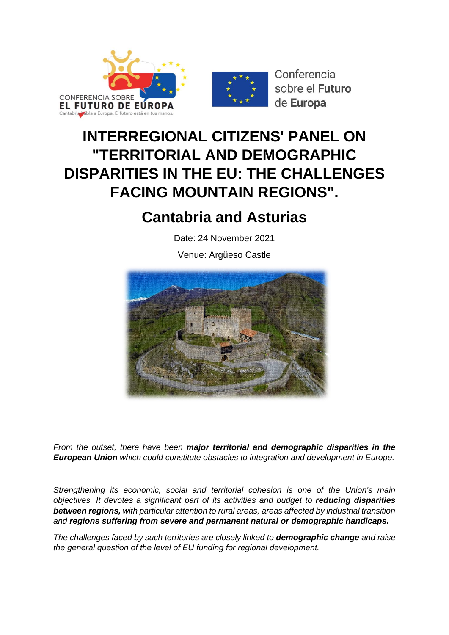



Conferencia sobre el Futuro de Europa

## **INTERREGIONAL CITIZENS' PANEL ON "TERRITORIAL AND DEMOGRAPHIC DISPARITIES IN THE EU: THE CHALLENGES FACING MOUNTAIN REGIONS".**

### **Cantabria and Asturias**

Date: 24 November 2021

Venue: Argüeso Castle



*From the outset, there have been major territorial and demographic disparities in the European Union which could constitute obstacles to integration and development in Europe.*

*Strengthening its economic, social and territorial cohesion is one of the Union's main objectives. It devotes a significant part of its activities and budget to reducing disparities between regions, with particular attention to rural areas, areas affected by industrial transition and regions suffering from severe and permanent natural or demographic handicaps.*

*The challenges faced by such territories are closely linked to demographic change and raise the general question of the level of EU funding for regional development.*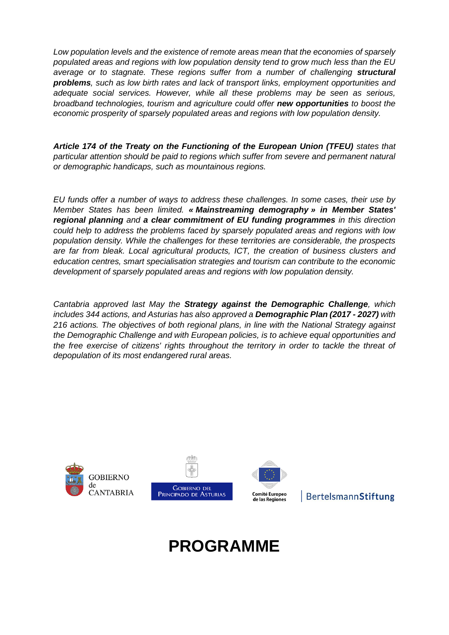*Low population levels and the existence of remote areas mean that the economies of sparsely populated areas and regions with low population density tend to grow much less than the EU*  average or to stagnate. These regions suffer from a number of challenging **structural** *problems, such as low birth rates and lack of transport links, employment opportunities and adequate social services. However, while all these problems may be seen as serious, broadband technologies, tourism and agriculture could offer new opportunities to boost the economic prosperity of sparsely populated areas and regions with low population density.*

*Article 174 of the Treaty on the Functioning of the European Union (TFEU) states that particular attention should be paid to regions which suffer from severe and permanent natural or demographic handicaps, such as mountainous regions.*

*EU funds offer a number of ways to address these challenges. In some cases, their use by Member States has been limited. « Mainstreaming demography » in Member States' regional planning and a clear commitment of EU funding programmes in this direction could help to address the problems faced by sparsely populated areas and regions with low population density. While the challenges for these territories are considerable, the prospects are far from bleak. Local agricultural products, ICT, the creation of business clusters and education centres, smart specialisation strategies and tourism can contribute to the economic development of sparsely populated areas and regions with low population density.*

*Cantabria approved last May the Strategy against the Demographic Challenge, which includes 344 actions, and Asturias has also approved a Demographic Plan (2017 - 2027) with 216 actions. The objectives of both regional plans, in line with the National Strategy against the Demographic Challenge and with European policies, is to achieve equal opportunities and the free exercise of citizens' rights throughout the territory in order to tackle the threat of depopulation of its most endangered rural areas.*



### BertelsmannStiftung

# **PROGRAMME**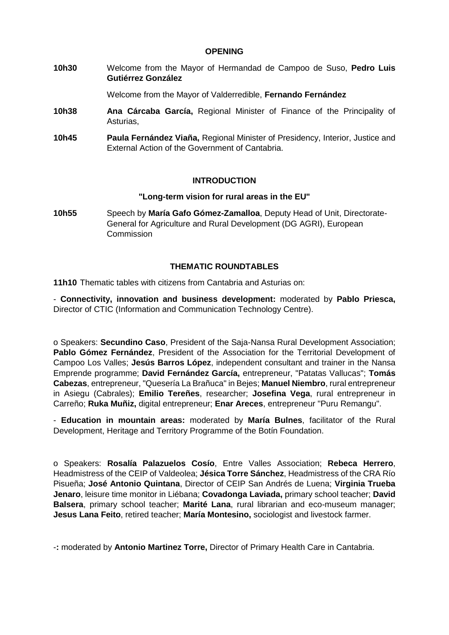#### **OPENING**

**10h30** Welcome from the Mayor of Hermandad de Campoo de Suso, **Pedro Luis Gutiérrez González**

Welcome from the Mayor of Valderredible, **Fernando Fernández**

- **10h38 Ana Cárcaba García,** Regional Minister of Finance of the Principality of Asturias,
- **10h45 Paula Fernández Viaña,** Regional Minister of Presidency, Interior, Justice and External Action of the Government of Cantabria.

#### **INTRODUCTION**

#### **"Long-term vision for rural areas in the EU"**

**10h55** Speech by **María Gafo Gómez-Zamalloa**, Deputy Head of Unit, Directorate-General for Agriculture and Rural Development (DG AGRI), European **Commission** 

#### **THEMATIC ROUNDTABLES**

**11h10** Thematic tables with citizens from Cantabria and Asturias on:

- **Connectivity, innovation and business development:** moderated by **Pablo Priesca,**  Director of CTIC (Information and Communication Technology Centre).

o Speakers: **Secundino Caso**, President of the Saja-Nansa Rural Development Association; **Pablo Gómez Fernández**, President of the Association for the Territorial Development of Campoo Los Valles; **Jesús Barros López**, independent consultant and trainer in the Nansa Emprende programme; **David Fernández García,** entrepreneur, "Patatas Vallucas"; **Tomás Cabezas**, entrepreneur, "Quesería La Brañuca" in Bejes; **Manuel Niembro**, rural entrepreneur in Asiegu (Cabrales); **Emilio Tereñes**, researcher; **Josefina Vega**, rural entrepreneur in Carreño; **Ruka Muñiz,** digital entrepreneur; **Enar Areces**, entrepreneur "Puru Remangu".

- **Education in mountain areas:** moderated by **María Bulnes**, facilitator of the Rural Development, Heritage and Territory Programme of the Botín Foundation.

o Speakers: **Rosalía Palazuelos Cosío**, Entre Valles Association; **Rebeca Herrero**, Headmistress of the CEIP of Valdeolea; **Jésica Torre Sánchez**, Headmistress of the CRA Río Pisueña; **José Antonio Quintana**, Director of CEIP San Andrés de Luena; **Virginia Trueba Jenaro**, leisure time monitor in Liébana; **Covadonga Laviada,** primary school teacher; **David Balsera**, primary school teacher; **Marité Lana**, rural librarian and eco-museum manager; **Jesus Lana Feito**, retired teacher; **María Montesino,** sociologist and livestock farmer.

-**:** moderated by **Antonio Martinez Torre,** Director of Primary Health Care in Cantabria.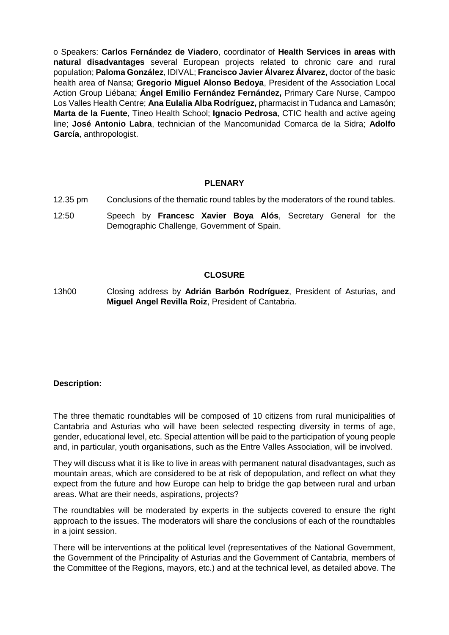o Speakers: **Carlos Fernández de Viadero**, coordinator of **Health Services in areas with natural disadvantages** several European projects related to chronic care and rural population; **Paloma González**, IDIVAL; **Francisco Javier Álvarez Álvarez,** doctor of the basic health area of Nansa; **Gregorio Miguel Alonso Bedoya**, President of the Association Local Action Group Liébana; **Ángel Emilio Fernández Fernández,** Primary Care Nurse, Campoo Los Valles Health Centre; **Ana Eulalia Alba Rodríguez,** pharmacist in Tudanca and Lamasón; **Marta de la Fuente**, Tineo Health School; **Ignacio Pedrosa**, CTIC health and active ageing line; **José Antonio Labra**, technician of the Mancomunidad Comarca de la Sidra; **Adolfo García**, anthropologist.

#### **PLENARY**

- 12.35 pm Conclusions of the thematic round tables by the moderators of the round tables.
- 12:50 Speech by **Francesc Xavier Boya Alós**, Secretary General for the Demographic Challenge, Government of Spain.

#### **CLOSURE**

13h00 Closing address by **Adrián Barbón Rodríguez**, President of Asturias, and **Miguel Angel Revilla Roiz**, President of Cantabria.

#### **Description:**

The three thematic roundtables will be composed of 10 citizens from rural municipalities of Cantabria and Asturias who will have been selected respecting diversity in terms of age, gender, educational level, etc. Special attention will be paid to the participation of young people and, in particular, youth organisations, such as the Entre Valles Association, will be involved.

They will discuss what it is like to live in areas with permanent natural disadvantages, such as mountain areas, which are considered to be at risk of depopulation, and reflect on what they expect from the future and how Europe can help to bridge the gap between rural and urban areas. What are their needs, aspirations, projects?

The roundtables will be moderated by experts in the subjects covered to ensure the right approach to the issues. The moderators will share the conclusions of each of the roundtables in a joint session.

There will be interventions at the political level (representatives of the National Government, the Government of the Principality of Asturias and the Government of Cantabria, members of the Committee of the Regions, mayors, etc.) and at the technical level, as detailed above. The